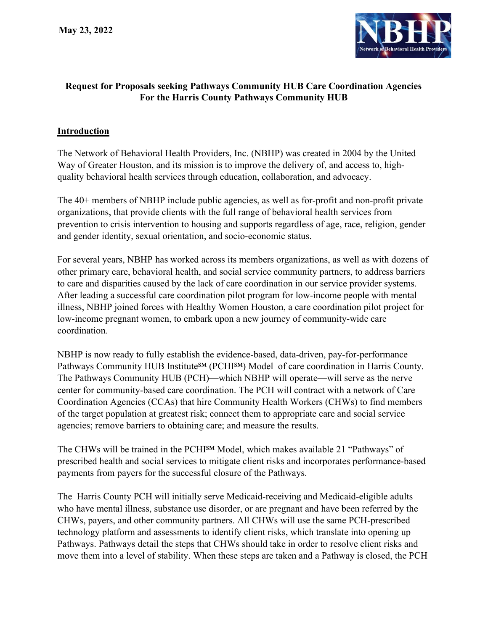

## Request for Proposals seeking Pathways Community HUB Care Coordination Agencies For the Harris County Pathways Community HUB

#### **Introduction**

The Network of Behavioral Health Providers, Inc. (NBHP) was created in 2004 by the United Way of Greater Houston, and its mission is to improve the delivery of, and access to, highquality behavioral health services through education, collaboration, and advocacy.

The 40+ members of NBHP include public agencies, as well as for-profit and non-profit private organizations, that provide clients with the full range of behavioral health services from prevention to crisis intervention to housing and supports regardless of age, race, religion, gender and gender identity, sexual orientation, and socio-economic status.

For several years, NBHP has worked across its members organizations, as well as with dozens of other primary care, behavioral health, and social service community partners, to address barriers to care and disparities caused by the lack of care coordination in our service provider systems. After leading a successful care coordination pilot program for low-income people with mental illness, NBHP joined forces with Healthy Women Houston, a care coordination pilot project for low-income pregnant women, to embark upon a new journey of community-wide care coordination.

NBHP is now ready to fully establish the evidence-based, data-driven, pay-for-performance Pathways Community HUB Institute<sup>SM</sup> (PCHI<sup>SM</sup>) Model of care coordination in Harris County. The Pathways Community HUB (PCH)—which NBHP will operate—will serve as the nerve center for community-based care coordination. The PCH will contract with a network of Care Coordination Agencies (CCAs) that hire Community Health Workers (CHWs) to find members of the target population at greatest risk; connect them to appropriate care and social service agencies; remove barriers to obtaining care; and measure the results.

The CHWs will be trained in the PCHISM Model, which makes available 21 "Pathways" of prescribed health and social services to mitigate client risks and incorporates performance-based payments from payers for the successful closure of the Pathways.

The Harris County PCH will initially serve Medicaid-receiving and Medicaid-eligible adults who have mental illness, substance use disorder, or are pregnant and have been referred by the CHWs, payers, and other community partners. All CHWs will use the same PCH-prescribed technology platform and assessments to identify client risks, which translate into opening up Pathways. Pathways detail the steps that CHWs should take in order to resolve client risks and move them into a level of stability. When these steps are taken and a Pathway is closed, the PCH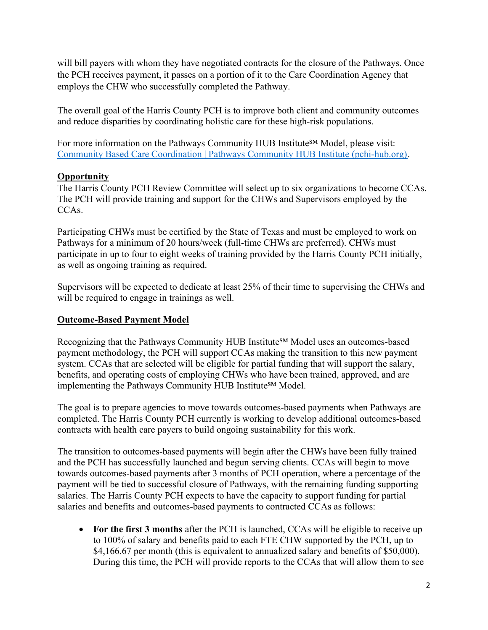will bill payers with whom they have negotiated contracts for the closure of the Pathways. Once the PCH receives payment, it passes on a portion of it to the Care Coordination Agency that employs the CHW who successfully completed the Pathway.

The overall goal of the Harris County PCH is to improve both client and community outcomes and reduce disparities by coordinating holistic care for these high-risk populations.

For more information on the Pathways Community HUB Institute<sup>SM</sup> Model, please visit: Community Based Care Coordination | Pathways Community HUB Institute (pchi-hub.org).

## **Opportunity**

The Harris County PCH Review Committee will select up to six organizations to become CCAs. The PCH will provide training and support for the CHWs and Supervisors employed by the CCA<sub>s</sub>.

Participating CHWs must be certified by the State of Texas and must be employed to work on Pathways for a minimum of 20 hours/week (full-time CHWs are preferred). CHWs must participate in up to four to eight weeks of training provided by the Harris County PCH initially, as well as ongoing training as required.

Supervisors will be expected to dedicate at least 25% of their time to supervising the CHWs and will be required to engage in trainings as well.

### Outcome-Based Payment Model

Recognizing that the Pathways Community HUB Institute<sup>SM</sup> Model uses an outcomes-based payment methodology, the PCH will support CCAs making the transition to this new payment system. CCAs that are selected will be eligible for partial funding that will support the salary, benefits, and operating costs of employing CHWs who have been trained, approved, and are implementing the Pathways Community HUB Institute<sup>SM</sup> Model.

The goal is to prepare agencies to move towards outcomes-based payments when Pathways are completed. The Harris County PCH currently is working to develop additional outcomes-based contracts with health care payers to build ongoing sustainability for this work.

The transition to outcomes-based payments will begin after the CHWs have been fully trained and the PCH has successfully launched and begun serving clients. CCAs will begin to move towards outcomes-based payments after 3 months of PCH operation, where a percentage of the payment will be tied to successful closure of Pathways, with the remaining funding supporting salaries. The Harris County PCH expects to have the capacity to support funding for partial salaries and benefits and outcomes-based payments to contracted CCAs as follows:

• For the first 3 months after the PCH is launched, CCAs will be eligible to receive up to 100% of salary and benefits paid to each FTE CHW supported by the PCH, up to \$4,166.67 per month (this is equivalent to annualized salary and benefits of \$50,000). During this time, the PCH will provide reports to the CCAs that will allow them to see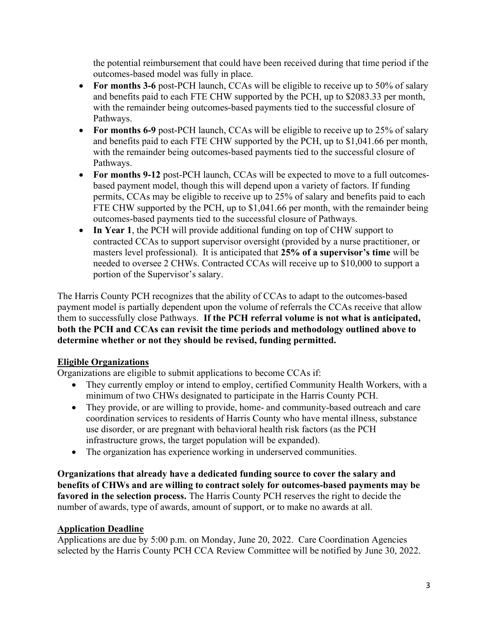the potential reimbursement that could have been received during that time period if the outcomes-based model was fully in place.

- For months 3-6 post-PCH launch, CCAs will be eligible to receive up to 50% of salary and benefits paid to each FTE CHW supported by the PCH, up to \$2083.33 per month, with the remainder being outcomes-based payments tied to the successful closure of Pathways.
- For months 6-9 post-PCH launch, CCAs will be eligible to receive up to 25% of salary and benefits paid to each FTE CHW supported by the PCH, up to \$1,041.66 per month, with the remainder being outcomes-based payments tied to the successful closure of Pathways.
- For months 9-12 post-PCH launch, CCAs will be expected to move to a full outcomesbased payment model, though this will depend upon a variety of factors. If funding permits, CCAs may be eligible to receive up to 25% of salary and benefits paid to each FTE CHW supported by the PCH, up to \$1,041.66 per month, with the remainder being outcomes-based payments tied to the successful closure of Pathways.
- In Year 1, the PCH will provide additional funding on top of CHW support to contracted CCAs to support supervisor oversight (provided by a nurse practitioner, or masters level professional). It is anticipated that 25% of a supervisor's time will be needed to oversee 2 CHWs. Contracted CCAs will receive up to \$10,000 to support a portion of the Supervisor's salary.

The Harris County PCH recognizes that the ability of CCAs to adapt to the outcomes-based payment model is partially dependent upon the volume of referrals the CCAs receive that allow them to successfully close Pathways. If the PCH referral volume is not what is anticipated, both the PCH and CCAs can revisit the time periods and methodology outlined above to determine whether or not they should be revised, funding permitted.

#### Eligible Organizations

Organizations are eligible to submit applications to become CCAs if:

- They currently employ or intend to employ, certified Community Health Workers, with a minimum of two CHWs designated to participate in the Harris County PCH.
- They provide, or are willing to provide, home- and community-based outreach and care coordination services to residents of Harris County who have mental illness, substance use disorder, or are pregnant with behavioral health risk factors (as the PCH infrastructure grows, the target population will be expanded).
- The organization has experience working in underserved communities.

Organizations that already have a dedicated funding source to cover the salary and benefits of CHWs and are willing to contract solely for outcomes-based payments may be favored in the selection process. The Harris County PCH reserves the right to decide the number of awards, type of awards, amount of support, or to make no awards at all.

#### Application Deadline

Applications are due by 5:00 p.m. on Monday, June 20, 2022. Care Coordination Agencies selected by the Harris County PCH CCA Review Committee will be notified by June 30, 2022.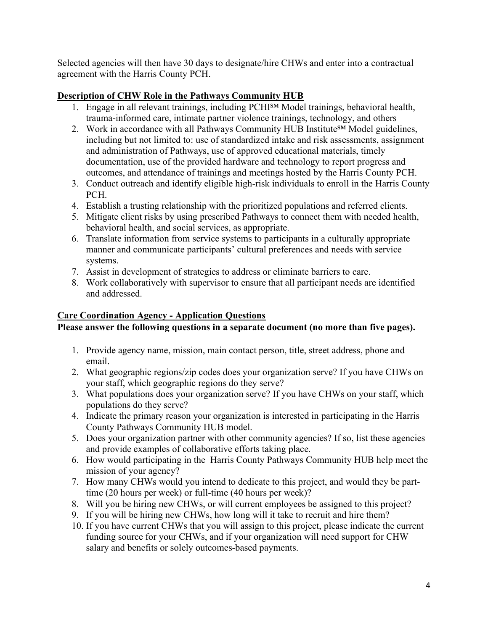Selected agencies will then have 30 days to designate/hire CHWs and enter into a contractual agreement with the Harris County PCH.

### Description of CHW Role in the Pathways Community HUB

- 1. Engage in all relevant trainings, including PCHI<sup>SM</sup> Model trainings, behavioral health, trauma-informed care, intimate partner violence trainings, technology, and others
- 2. Work in accordance with all Pathways Community HUB Institute<sup>SM</sup> Model guidelines, including but not limited to: use of standardized intake and risk assessments, assignment and administration of Pathways, use of approved educational materials, timely documentation, use of the provided hardware and technology to report progress and outcomes, and attendance of trainings and meetings hosted by the Harris County PCH.
- 3. Conduct outreach and identify eligible high-risk individuals to enroll in the Harris County PCH.
- 4. Establish a trusting relationship with the prioritized populations and referred clients.
- 5. Mitigate client risks by using prescribed Pathways to connect them with needed health, behavioral health, and social services, as appropriate.
- 6. Translate information from service systems to participants in a culturally appropriate manner and communicate participants' cultural preferences and needs with service systems.
- 7. Assist in development of strategies to address or eliminate barriers to care.
- 8. Work collaboratively with supervisor to ensure that all participant needs are identified and addressed.

# Care Coordination Agency - Application Questions

# Please answer the following questions in a separate document (no more than five pages).

- 1. Provide agency name, mission, main contact person, title, street address, phone and email.
- 2. What geographic regions/zip codes does your organization serve? If you have CHWs on your staff, which geographic regions do they serve?
- 3. What populations does your organization serve? If you have CHWs on your staff, which populations do they serve?
- 4. Indicate the primary reason your organization is interested in participating in the Harris County Pathways Community HUB model.
- 5. Does your organization partner with other community agencies? If so, list these agencies and provide examples of collaborative efforts taking place.
- 6. How would participating in the Harris County Pathways Community HUB help meet the mission of your agency?
- 7. How many CHWs would you intend to dedicate to this project, and would they be parttime (20 hours per week) or full-time (40 hours per week)?
- 8. Will you be hiring new CHWs, or will current employees be assigned to this project?
- 9. If you will be hiring new CHWs, how long will it take to recruit and hire them?
- 10. If you have current CHWs that you will assign to this project, please indicate the current funding source for your CHWs, and if your organization will need support for CHW salary and benefits or solely outcomes-based payments.